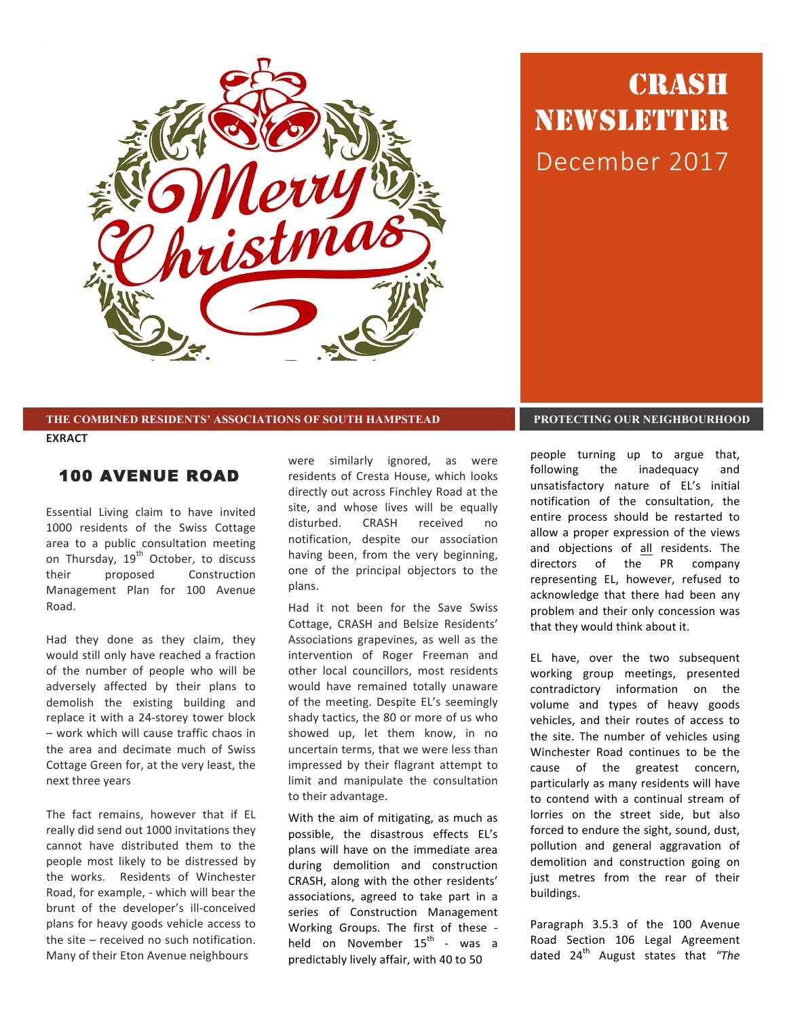

# CRASH NEWSLETTER December 2017

#### **THE COMBINED RESIDENTS' ASSOCIATIONS OF SOUTH HAMPSTEAD PROTECTING OUR NEIGHBOURHOOD**

**EXRACT**

#### 100 AVENUE ROAD

Essential Living claim to have invited 1000 residents of the Swiss Cottage area to a public consultation meeting on Thursday, 19<sup>th</sup> October, to discuss their proposed Construction Management Plan for 100 Avenue Road. 

Had they done as they claim, they would still only have reached a fraction of the number of people who will be adversely affected by their plans to demolish the existing building and replace it with a 24-storey tower block – work which will cause traffic chaos in the area and decimate much of Swiss Cottage Green for, at the very least, the next three years

The fact remains, however that if EL really did send out 1000 invitations they cannot have distributed them to the people most likely to be distressed by the works. Residents of Winchester Road, for example, - which will bear the brunt of the developer's ill-conceived plans for heavy goods vehicle access to the site  $-$  received no such notification. Many of their Eton Avenue neighbours

were similarly ignored, as were residents of Cresta House, which looks directly out across Finchley Road at the site, and whose lives will be equally disturbed. CRASH received no notification, despite our association having been, from the very beginning, one of the principal objectors to the plans.

Had it not been for the Save Swiss Cottage, CRASH and Belsize Residents' Associations grapevines, as well as the intervention of Roger Freeman and other local councillors, most residents would have remained totally unaware of the meeting. Despite EL's seemingly shady tactics, the 80 or more of us who showed up, let them know, in no uncertain terms, that we were less than impressed by their flagrant attempt to limit and manipulate the consultation to their advantage.

With the aim of mitigating, as much as possible, the disastrous effects EL's plans will have on the immediate area during demolition and construction CRASH, along with the other residents' associations, agreed to take part in a series of Construction Management Working Groups. The first of these held on November  $15^{\text{th}}$  - was a predictably lively affair, with 40 to 50

people turning up to argue that, following the inadequacy and unsatisfactory nature of EL's initial notification of the consultation, the entire process should be restarted to allow a proper expression of the views and objections of all residents. The directors of the PR company representing EL, however, refused to acknowledge that there had been any problem and their only concession was that they would think about it.

EL have, over the two subsequent working group meetings, presented contradictory information on the volume and types of heavy goods vehicles, and their routes of access to the site. The number of vehicles using Winchester Road continues to be the cause of the greatest concern, particularly as many residents will have to contend with a continual stream of lorries on the street side, but also forced to endure the sight, sound, dust, pollution and general aggravation of demolition and construction going on just metres from the rear of their buildings. 

Paragraph 3.5.3 of the 100 Avenue Road Section 106 Legal Agreement dated 24<sup>th</sup> August states that "The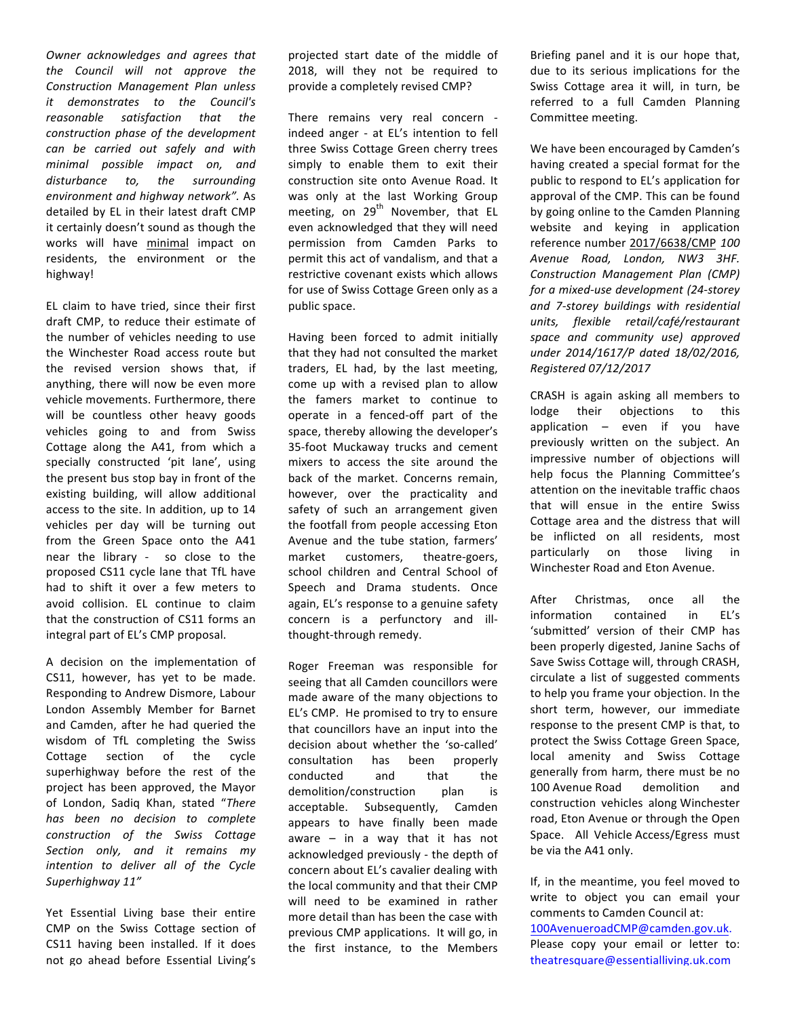**Owner** acknowledges and agrees that *the Council will not approve the Construction Management Plan unless it demonstrates to the Council's reasonable satisfaction that the construction phase of the development can be carried out safely and with minimal possible impact on, and disturbance to, the surrounding environment and highway network".* As detailed by EL in their latest draft CMP it certainly doesn't sound as though the works will have minimal impact on residents, the environment or the highway! 

EL claim to have tried, since their first draft CMP, to reduce their estimate of the number of vehicles needing to use the Winchester Road access route but the revised version shows that, if anything, there will now be even more vehicle movements. Furthermore, there will be countless other heavy goods vehicles going to and from Swiss Cottage along the A41, from which a specially constructed 'pit lane', using the present bus stop bay in front of the existing building, will allow additional access to the site. In addition, up to 14 vehicles per day will be turning out from the Green Space onto the A41 near the library - so close to the proposed CS11 cycle lane that TfL have had to shift it over a few meters to avoid collision. EL continue to claim that the construction of CS11 forms an integral part of EL's CMP proposal.

A decision on the implementation of CS11, however, has yet to be made. Responding to Andrew Dismore, Labour London Assembly Member for Barnet and Camden, after he had queried the wisdom of TfL completing the Swiss Cottage section of the cycle superhighway before the rest of the project has been approved, the Mayor of London, Sadiq Khan, stated "There *has been no decision to complete construction of the Swiss Cottage Section only, and it remains my intention to deliver all of the Cycle Superhighway 11"*

Yet Essential Living base their entire CMP on the Swiss Cottage section of CS11 having been installed. If it does not go ahead before Essential Living's projected start date of the middle of 2018, will they not be required to provide a completely revised CMP?

There remains very real concern indeed anger - at EL's intention to fell three Swiss Cottage Green cherry trees simply to enable them to exit their construction site onto Avenue Road. It was only at the last Working Group meeting, on  $29<sup>th</sup>$  November, that EL even acknowledged that they will need permission from Camden Parks to permit this act of vandalism, and that a restrictive covenant exists which allows for use of Swiss Cottage Green only as a public space.

Having been forced to admit initially that they had not consulted the market traders, EL had, by the last meeting, come up with a revised plan to allow the famers market to continue to operate in a fenced-off part of the space, thereby allowing the developer's 35-foot Muckaway trucks and cement mixers to access the site around the back of the market. Concerns remain, however, over the practicality and safety of such an arrangement given the footfall from people accessing Eton Avenue and the tube station, farmers' market customers, theatre-goers, school children and Central School of Speech and Drama students. Once again, EL's response to a genuine safety concern is a perfunctory and illthought-through remedy.

Roger Freeman was responsible for seeing that all Camden councillors were made aware of the many objections to EL's CMP. He promised to try to ensure that councillors have an input into the decision about whether the 'so-called' consultation has been properly conducted and that the demolition/construction plan is acceptable. Subsequently, Camden appears to have finally been made aware  $-$  in a way that it has not acknowledged previously - the depth of concern about EL's cavalier dealing with the local community and that their CMP will need to be examined in rather more detail than has been the case with previous CMP applications. It will go, in the first instance, to the Members

Briefing panel and it is our hope that, due to its serious implications for the Swiss Cottage area it will, in turn, be referred to a full Camden Planning Committee meeting.

We have been encouraged by Camden's having created a special format for the public to respond to EL's application for approval of the CMP. This can be found by going online to the Camden Planning website and keying in application reference number [2017/6638/CMP](http://planningrecords.camden.gov.uk/Northgate/PlanningExplorer17/Generic/StdDetails.aspx?PT=Planning Applications On-Line&TYPE=PL/PlanningPK.xml&PARAM0=457640&XSLT=/Northgate/PlanningExplorer17/SiteFiles/Skins/Camden/xslt/PL/PLDetails.xslt&FT=Planning Application Details&PUBLIC=Y&XMLSIDE=/Northgate/PlanningExplorer17/SiteFiles/Skins/Camden/Menus/PL.xml&DAURI=PLANNING) *100 Avenue Road, London, NW3 3HF. Construction Management Plan (CMP)*  for a mixed-use development (24-storey *and 7-storey buildings with residential units, flexible retail/café/restaurant space and community use) approved under 2014/1617/P dated 18/02/2016, Registered 07/12/2017*

CRASH is again asking all members to lodge their objections to this application  $-$  even if you have previously written on the subject. An impressive number of objections will help focus the Planning Committee's attention on the inevitable traffic chaos that will ensue in the entire Swiss Cottage area and the distress that will be inflicted on all residents, most particularly on those living in Winchester Road and Eton Avenue.

After Christmas, once all the information contained in EL's 'submitted' version of their CMP has been properly digested, Janine Sachs of Save Swiss Cottage will, through CRASH, circulate a list of suggested comments to help you frame your objection. In the short term, however, our immediate response to the present CMP is that, to protect the Swiss Cottage Green Space, local amenity and Swiss Cottage generally from harm, there must be no 100 Avenue Road demolition and construction vehicles along Winchester road, Eton Avenue or through the Open Space. All Vehicle Access/Egress must be via the A41 only.

If, in the meantime, you feel moved to write to object you can email your comments to Camden Council at: [100AvenueroadCMP@camden.gov.uk.](mailto:100AvenueroadCMP@camden.gov.uk) Please copy your email or letter to: [theatresquare@essentialliving.uk.com](mailto:theatresquare@essentialliving.uk.com)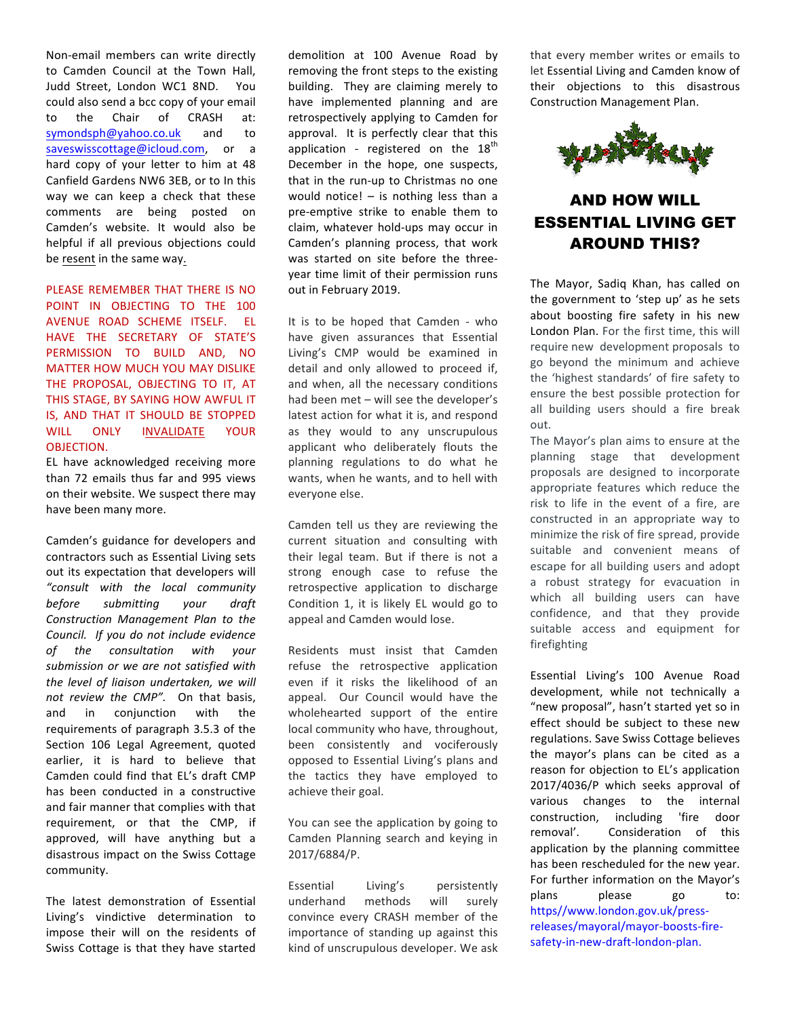Non-email members can write directly to Camden Council at the Town Hall, Judd Street, London WC1 8ND. You could also send a bcc copy of your email to the Chair of CRASH at: [symondsph@yahoo.co.uk](mailto:symondsph@yahoo.co.uk) and to [saveswisscottage@icloud.com,](mailto:saveswisscottage@icloud.com) or a hard copy of your letter to him at 48 Canfield Gardens NW6 3EB, or to In this way we can keep a check that these comments are being posted on Camden's website. It would also be helpful if all previous objections could be resent in the same way.

PLEASE REMEMBER THAT THERE IS NO POINT IN OBJECTING TO THE 100 AVENUE ROAD SCHEME ITSELF. EL HAVE THE SECRETARY OF STATE'S PERMISSION TO BUILD AND, NO MATTER HOW MUCH YOU MAY DISLIKE THE PROPOSAL, OBJECTING TO IT, AT THIS STAGE, BY SAYING HOW AWFUL IT IS, AND THAT IT SHOULD BE STOPPED WILL ONLY INVALIDATE YOUR OBJECTION.

EL have acknowledged receiving more than 72 emails thus far and 995 views on their website. We suspect there may have been many more.

Camden's guidance for developers and contractors such as Essential Living sets out its expectation that developers will *"consult with the local community before submitting your draft Construction Management Plan to the Council. If you do not include evidence of the consultation with your submission or we are not satisfied with*  the level of liaison undertaken, we will *not review the CMP".* On that basis, and in conjunction with the requirements of paragraph 3.5.3 of the Section 106 Legal Agreement, quoted earlier, it is hard to believe that Camden could find that EL's draft CMP has been conducted in a constructive and fair manner that complies with that requirement, or that the CMP, if approved, will have anything but a disastrous impact on the Swiss Cottage community.

The latest demonstration of Essential Living's vindictive determination to impose their will on the residents of Swiss Cottage is that they have started

demolition at 100 Avenue Road by removing the front steps to the existing building. They are claiming merely to have implemented planning and are retrospectively applying to Camden for approval. It is perfectly clear that this application - registered on the  $18<sup>th</sup>$ December in the hope, one suspects, that in the run-up to Christmas no one would notice!  $-$  is nothing less than a pre-emptive strike to enable them to claim, whatever hold-ups may occur in Camden's planning process, that work was started on site before the threeyear time limit of their permission runs out in February 2019.

It is to be hoped that Camden - who have given assurances that Essential Living's CMP would be examined in detail and only allowed to proceed if, and when, all the necessary conditions had been met - will see the developer's latest action for what it is, and respond as they would to any unscrupulous applicant who deliberately flouts the planning regulations to do what he wants, when he wants, and to hell with everyone else.

Camden tell us they are reviewing the current situation and consulting with their legal team. But if there is not a strong enough case to refuse the retrospective application to discharge Condition 1, it is likely EL would go to appeal and Camden would lose.

Residents must insist that Camden refuse the retrospective application even if it risks the likelihood of an appeal. Our Council would have the wholehearted support of the entire local community who have, throughout, been consistently and vociferously opposed to Essential Living's plans and the tactics they have employed to achieve their goal.

You can see the application by going to Camden Planning search and keying in 2017/6884/P.

Essential Living's persistently underhand methods will surely convince every CRASH member of the importance of standing up against this kind of unscrupulous developer. We ask that every member writes or emails to let Essential Living and Camden know of their objections to this disastrous Construction Management Plan.



### AND HOW WILL ESSENTIAL LIVING GET AROUND THIS?

The Mayor, Sadiq Khan, has called on the government to 'step up' as he sets about boosting fire safety in his new London Plan. For the first time, this will require new development proposals to go beyond the minimum and achieve the 'highest standards' of fire safety to ensure the best possible protection for all building users should a fire break out.

The Mayor's plan aims to ensure at the planning stage that development proposals are designed to incorporate appropriate features which reduce the risk to life in the event of a fire, are constructed in an appropriate way to minimize the risk of fire spread, provide suitable and convenient means of escape for all building users and adopt a robust strategy for evacuation in which all building users can have confidence, and that they provide suitable access and equipment for firefighting 

Essential Living's 100 Avenue Road development, while not technically a "new proposal", hasn't started yet so in effect should be subject to these new regulations. Save Swiss Cottage believes the mayor's plans can be cited as a reason for objection to EL's application 2017/4036/P which seeks approval of various changes to the internal construction, including 'fire door removal'. Consideration of this application by the planning committee has been rescheduled for the new year. For further information on the Mayor's plans please go to: https//www.london.gov.uk/pressreleases/mayoral/mayor-boosts-firesafety-in-new-draft-london-plan.